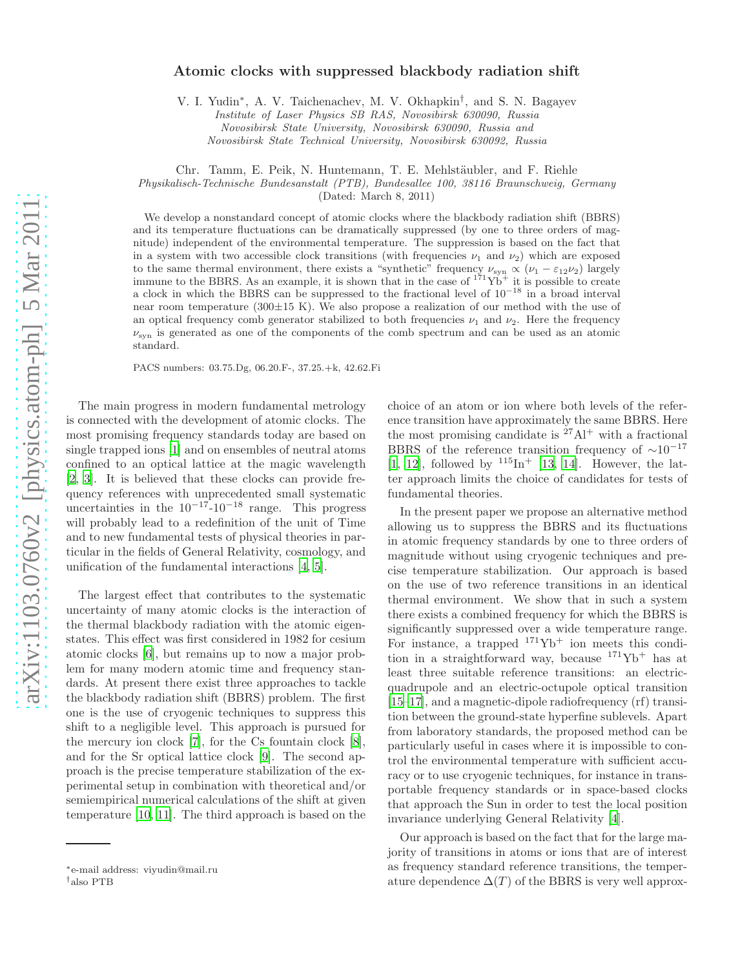## Atomic clocks with suppressed blackbody radiation shift

V. I. Yudin<sup>∗</sup> , A. V. Taichenachev, M. V. Okhapkin† , and S. N. Bagayev

*Institute of Laser Physics SB RAS, Novosibirsk 630090, Russia Novosibirsk State University, Novosibirsk 630090, Russia and Novosibirsk State Technical University, Novosibirsk 630092, Russia*

Chr. Tamm, E. Peik, N. Huntemann, T. E. Mehlstäubler, and F. Riehle

*Physikalisch-Technische Bundesanstalt (PTB), Bundesallee 100, 38116 Braunschweig, Germany*

(Dated: March 8, 2011)

We develop a nonstandard concept of atomic clocks where the blackbody radiation shift (BBRS) and its temperature fluctuations can be dramatically suppressed (by one to three orders of magnitude) independent of the environmental temperature. The suppression is based on the fact that in a system with two accessible clock transitions (with frequencies  $\nu_1$  and  $\nu_2$ ) which are exposed to the same thermal environment, there exists a "synthetic" frequency  $\nu_{syn} \propto (\nu_1 - \varepsilon_{12}\nu_2)$  largely immune to the BBRS. As an example, it is shown that in the case of  $171\text{Yb}^+$  it is possible to create a clock in which the BBRS can be suppressed to the fractional level of  $10^{-18}$  in a broad interval near room temperature (300 $\pm$ 15 K). We also propose a realization of our method with the use of an optical frequency comb generator stabilized to both frequencies  $\nu_1$  and  $\nu_2$ . Here the frequency  $\nu_{\rm syn}$  is generated as one of the components of the comb spectrum and can be used as an atomic standard.

PACS numbers: 03.75.Dg, 06.20.F-, 37.25.+k, 42.62.Fi

The main progress in modern fundamental metrology is connected with the development of atomic clocks. The most promising frequency standards today are based on single trapped ions [\[1\]](#page-4-0) and on ensembles of neutral atoms confined to an optical lattice at the magic wavelength [\[2,](#page-4-1) [3\]](#page-4-2). It is believed that these clocks can provide frequency references with unprecedented small systematic uncertainties in the  $10^{-17}$ - $10^{-18}$  range. This progress will probably lead to a redefinition of the unit of Time and to new fundamental tests of physical theories in particular in the fields of General Relativity, cosmology, and unification of the fundamental interactions [\[4](#page-4-3), [5](#page-4-4)].

The largest effect that contributes to the systematic uncertainty of many atomic clocks is the interaction of the thermal blackbody radiation with the atomic eigenstates. This effect was first considered in 1982 for cesium atomic clocks [\[6](#page-4-5)], but remains up to now a major problem for many modern atomic time and frequency standards. At present there exist three approaches to tackle the blackbody radiation shift (BBRS) problem. The first one is the use of cryogenic techniques to suppress this shift to a negligible level. This approach is pursued for the mercury ion clock [\[7\]](#page-4-6), for the Cs fountain clock [\[8\]](#page-4-7), and for the Sr optical lattice clock [\[9](#page-4-8)]. The second approach is the precise temperature stabilization of the experimental setup in combination with theoretical and/or semiempirical numerical calculations of the shift at given temperature [\[10](#page-4-9), [11\]](#page-4-10). The third approach is based on the

choice of an atom or ion where both levels of the reference transition have approximately the same BBRS. Here the most promising candidate is  $^{27}$ Al<sup>+</sup> with a fractional BBRS of the reference transition frequency of  $\sim 10^{-17}$ [\[1,](#page-4-0) [12](#page-4-11)], followed by  $115\text{In}^+$  [\[13](#page-4-12), [14](#page-4-13)]. However, the latter approach limits the choice of candidates for tests of fundamental theories.

In the present paper we propose an alternative method allowing us to suppress the BBRS and its fluctuations in atomic frequency standards by one to three orders of magnitude without using cryogenic techniques and precise temperature stabilization. Our approach is based on the use of two reference transitions in an identical thermal environment. We show that in such a system there exists a combined frequency for which the BBRS is significantly suppressed over a wide temperature range. For instance, a trapped  $171\text{Yb}^+$  ion meets this condition in a straightforward way, because  $171\text{Yb}^+$  has at least three suitable reference transitions: an electricquadrupole and an electric-octupole optical transition [\[15](#page-4-14)[–17\]](#page-4-15), and a magnetic-dipole radiofrequency (rf) transition between the ground-state hyperfine sublevels. Apart from laboratory standards, the proposed method can be particularly useful in cases where it is impossible to control the environmental temperature with sufficient accuracy or to use cryogenic techniques, for instance in transportable frequency standards or in space-based clocks that approach the Sun in order to test the local position invariance underlying General Relativity [\[4\]](#page-4-3).

Our approach is based on the fact that for the large majority of transitions in atoms or ions that are of interest as frequency standard reference transitions, the temperature dependence  $\Delta(T)$  of the BBRS is very well approx-

<sup>∗</sup>e-mail address: viyudin@mail.ru

<sup>†</sup>also PTB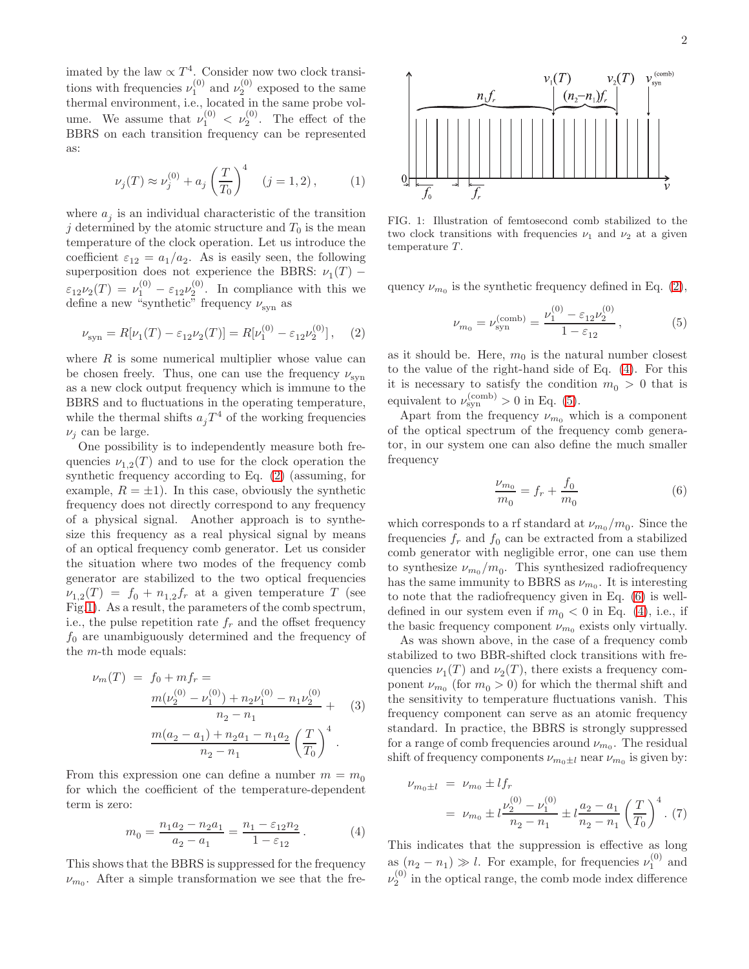$$
\nu_j(T) \approx \nu_j^{(0)} + a_j \left(\frac{T}{T_0}\right)^4 \quad (j = 1, 2), \tag{1}
$$

where  $a_j$  is an individual characteristic of the transition j determined by the atomic structure and  $T_0$  is the mean temperature of the clock operation. Let us introduce the coefficient  $\varepsilon_{12} = a_1/a_2$ . As is easily seen, the following superposition does not experience the BBRS:  $\nu_1(T)$  –  $\varepsilon_{12}\nu_2(T) = \nu_1^{(0)} - \varepsilon_{12}\nu_2^{(0)}$ . In compliance with this we define a new "synthetic" frequency  $\nu_\mathrm{syn}$  as

<span id="page-1-0"></span>
$$
\nu_{\rm syn} = R[\nu_1(T) - \varepsilon_{12}\nu_2(T)] = R[\nu_1^{(0)} - \varepsilon_{12}\nu_2^{(0)}], \quad (2)
$$

where  $R$  is some numerical multiplier whose value can be chosen freely. Thus, one can use the frequency  $\nu_{syn}$ as a new clock output frequency which is immune to the BBRS and to fluctuations in the operating temperature, while the thermal shifts  $a_j T^4$  of the working frequencies  $\nu_i$  can be large.

One possibility is to independently measure both frequencies  $\nu_{1,2}(T)$  and to use for the clock operation the synthetic frequency according to Eq. [\(2\)](#page-1-0) (assuming, for example,  $R = \pm 1$ ). In this case, obviously the synthetic frequency does not directly correspond to any frequency of a physical signal. Another approach is to synthesize this frequency as a real physical signal by means of an optical frequency comb generator. Let us consider the situation where two modes of the frequency comb generator are stabilized to the two optical frequencies  $\nu_{1,2}(T) = f_0 + n_{1,2}f_r$  at a given temperature T (see Fig[.1\)](#page-1-1). As a result, the parameters of the comb spectrum, i.e., the pulse repetition rate  $f_r$  and the offset frequency  $f_0$  are unambiguously determined and the frequency of the m-th mode equals:

$$
\nu_m(T) = f_0 + mf_r =
$$
  
\n
$$
\frac{m(\nu_2^{(0)} - \nu_1^{(0)}) + n_2 \nu_1^{(0)} - n_1 \nu_2^{(0)}}{n_2 - n_1} + (3)
$$
  
\n
$$
\frac{m(a_2 - a_1) + n_2 a_1 - n_1 a_2}{n_2 - n_1} \left(\frac{T}{T_0}\right)^4.
$$

From this expression one can define a number  $m = m_0$ for which the coefficient of the temperature-dependent term is zero:

<span id="page-1-2"></span>
$$
m_0 = \frac{n_1 a_2 - n_2 a_1}{a_2 - a_1} = \frac{n_1 - \varepsilon_{12} n_2}{1 - \varepsilon_{12}}.
$$
 (4)

This shows that the BBRS is suppressed for the frequency  $\nu_{m_0}$ . After a simple transformation we see that the fre-



<span id="page-1-1"></span>FIG. 1: Illustration of femtosecond comb stabilized to the two clock transitions with frequencies  $\nu_1$  and  $\nu_2$  at a given temperature  $T$ .

quency  $\nu_{m_0}$  is the synthetic frequency defined in Eq. [\(2\)](#page-1-0),

<span id="page-1-3"></span>
$$
\nu_{m_0} = \nu_{\rm syn}^{\rm (comb)} = \frac{\nu_1^{(0)} - \varepsilon_{12}\nu_2^{(0)}}{1 - \varepsilon_{12}},\tag{5}
$$

as it should be. Here,  $m_0$  is the natural number closest to the value of the right-hand side of Eq. [\(4\)](#page-1-2). For this it is necessary to satisfy the condition  $m_0 > 0$  that is equivalent to  $\nu_{syn}^{(comb)} > 0$  in Eq. [\(5\)](#page-1-3).

Apart from the frequency  $\nu_{m_0}$  which is a component of the optical spectrum of the frequency comb generator, in our system one can also define the much smaller frequency

<span id="page-1-4"></span>
$$
\frac{\nu_{m_0}}{m_0} = f_r + \frac{f_0}{m_0} \tag{6}
$$

which corresponds to a rf standard at  $\nu_{m_0}/m_0$ . Since the frequencies  $f_r$  and  $f_0$  can be extracted from a stabilized comb generator with negligible error, one can use them to synthesize  $\nu_{m_0}/m_0$ . This synthesized radiofrequency has the same immunity to BBRS as  $\nu_{m_0}$ . It is interesting to note that the radiofrequency given in Eq. [\(6\)](#page-1-4) is welldefined in our system even if  $m_0 < 0$  in Eq. [\(4\)](#page-1-2), i.e., if the basic frequency component  $\nu_{m_0}$  exists only virtually.

As was shown above, in the case of a frequency comb stabilized to two BBR-shifted clock transitions with frequencies  $\nu_1(T)$  and  $\nu_2(T)$ , there exists a frequency component  $\nu_{m_0}$  (for  $m_0 > 0$ ) for which the thermal shift and the sensitivity to temperature fluctuations vanish. This frequency component can serve as an atomic frequency standard. In practice, the BBRS is strongly suppressed for a range of comb frequencies around  $\nu_{m_0}$ . The residual shift of frequency components  $\nu_{m_0\pm l}$  near  $\nu_{m_0}$  is given by:

$$
\nu_{m_0 \pm l} = \nu_{m_0} \pm l f_r
$$
  
=  $\nu_{m_0} \pm l \frac{\nu_2^{(0)} - \nu_1^{(0)}}{n_2 - n_1} \pm l \frac{a_2 - a_1}{n_2 - n_1} \left(\frac{T}{T_0}\right)^4$ . (7)

This indicates that the suppression is effective as long as  $(n_2 - n_1) \gg l$ . For example, for frequencies  $\nu_1^{(0)}$  and  $\nu_2^{(0)}$  in the optical range, the comb mode index difference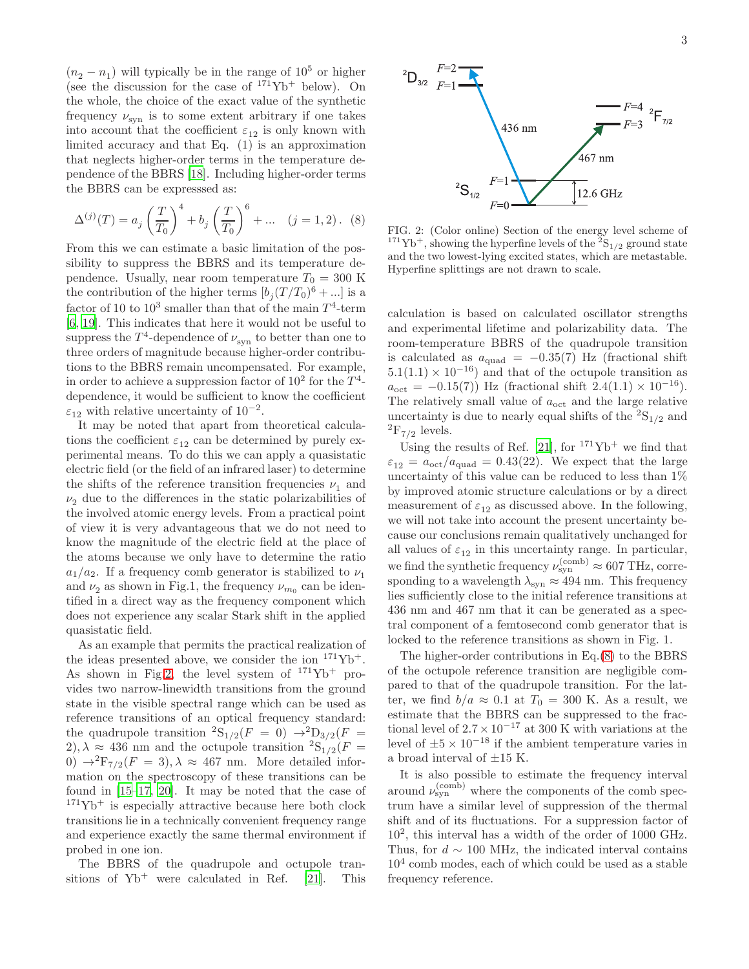$(n_2 - n_1)$  will typically be in the range of  $10^5$  or higher (see the discussion for the case of  $171\text{Yb}^+$  below). On the whole, the choice of the exact value of the synthetic frequency  $\nu_{syn}$  is to some extent arbitrary if one takes into account that the coefficient  $\varepsilon_{12}$  is only known with limited accuracy and that Eq. (1) is an approximation that neglects higher-order terms in the temperature dependence of the BBRS [\[18\]](#page-4-16). Including higher-order terms the BBRS can be expresssed as:

<span id="page-2-1"></span>
$$
\Delta^{(j)}(T) = a_j \left(\frac{T}{T_0}\right)^4 + b_j \left(\frac{T}{T_0}\right)^6 + \dots \quad (j = 1, 2). \tag{8}
$$

From this we can estimate a basic limitation of the possibility to suppress the BBRS and its temperature dependence. Usually, near room temperature  $T_0 = 300$  K the contribution of the higher terms  $[b_j(T/T_0)^6 + ...]$  is a factor of 10 to  $10^3$  smaller than that of the main  $T^4$ -term [\[6,](#page-4-5) [19\]](#page-4-17). This indicates that here it would not be useful to suppress the  $T^4$ -dependence of  $\nu_{syn}$  to better than one to three orders of magnitude because higher-order contributions to the BBRS remain uncompensated. For example, in order to achieve a suppression factor of  $10^2$  for the  $T^4$ dependence, it would be sufficient to know the coefficient  $\varepsilon_{12}$  with relative uncertainty of  $10^{-2}$ .

It may be noted that apart from theoretical calculations the coefficient  $\varepsilon_{12}$  can be determined by purely experimental means. To do this we can apply a quasistatic electric field (or the field of an infrared laser) to determine the shifts of the reference transition frequencies  $\nu_1$  and  $\nu_2$  due to the differences in the static polarizabilities of the involved atomic energy levels. From a practical point of view it is very advantageous that we do not need to know the magnitude of the electric field at the place of the atoms because we only have to determine the ratio  $a_1/a_2$ . If a frequency comb generator is stabilized to  $\nu_1$ and  $\nu_2$  as shown in Fig.1, the frequency  $\nu_{m_0}$  can be identified in a direct way as the frequency component which does not experience any scalar Stark shift in the applied quasistatic field.

As an example that permits the practical realization of the ideas presented above, we consider the ion  $171\text{Yb}^+$ . As shown in Fig[.2,](#page-2-0) the level system of  $171Yb^+$  provides two narrow-linewidth transitions from the ground state in the visible spectral range which can be used as reference transitions of an optical frequency standard: the quadrupole transition  ${}^{2}S_{1/2}(F = 0) \rightarrow {}^{2}D_{3/2}(F = 0)$ 2),  $\lambda \approx 436$  nm and the octupole transition  ${}^{2}S_{1/2}(F =$ 0)  $\rightarrow$ <sup>2</sup>F<sub>7/2</sub>(F = 3),  $\lambda \approx 467$  nm. More detailed information on the spectroscopy of these transitions can be found in [\[15](#page-4-14)[–17,](#page-4-15) [20\]](#page-4-18). It may be noted that the case of  $171\text{Yb}^+$  is especially attractive because here both clock transitions lie in a technically convenient frequency range and experience exactly the same thermal environment if probed in one ion.

The BBRS of the quadrupole and octupole transitions of  $Yb^+$  were calculated in Ref. [\[21](#page-4-19)]. This



<span id="page-2-0"></span>FIG. 2: (Color online) Section of the energy level scheme of <sup>171</sup>Yb<sup>+</sup>, showing the hyperfine levels of the <sup>2</sup>S<sub>1/2</sub> ground state and the two lowest-lying excited states, which are metastable. Hyperfine splittings are not drawn to scale.

calculation is based on calculated oscillator strengths and experimental lifetime and polarizability data. The room-temperature BBRS of the quadrupole transition is calculated as  $a_{quad} = -0.35(7)$  Hz (fractional shift  $5.1(1.1) \times 10^{-16}$  and that of the octupole transition as  $a_{\rm oct} = -0.15(7)$  Hz (fractional shift  $2.4(1.1) \times 10^{-16}$ ). The relatively small value of  $a_{\text{oct}}$  and the large relative uncertainty is due to nearly equal shifts of the  ${}^{2}S_{1/2}$  and  ${}^{2}F_{7/2}$  levels.

Using the results of Ref. [\[21\]](#page-4-19), for  $171\text{Yb}^+$  we find that  $\varepsilon_{12} = a_{\rm oct}/a_{\rm quad} = 0.43(22)$ . We expect that the large uncertainty of this value can be reduced to less than 1% by improved atomic structure calculations or by a direct measurement of  $\varepsilon_{12}$  as discussed above. In the following, we will not take into account the present uncertainty because our conclusions remain qualitatively unchanged for all values of  $\varepsilon_{12}$  in this uncertainty range. In particular, we find the synthetic frequency  $\nu_{syn}^{(\text{comb})} \approx 607 \text{ THz, corre-}$ sponding to a wavelength  $\lambda_{syn} \approx 494$  nm. This frequency lies sufficiently close to the initial reference transitions at 436 nm and 467 nm that it can be generated as a spectral component of a femtosecond comb generator that is locked to the reference transitions as shown in Fig. 1.

The higher-order contributions in Eq.[\(8\)](#page-2-1) to the BBRS of the octupole reference transition are negligible compared to that of the quadrupole transition. For the latter, we find  $b/a \approx 0.1$  at  $T_0 = 300$  K. As a result, we estimate that the BBRS can be suppressed to the fractional level of  $2.7 \times 10^{-17}$  at 300 K with variations at the level of  $\pm 5 \times 10^{-18}$  if the ambient temperature varies in a broad interval of  $\pm 15$  K.

It is also possible to estimate the frequency interval around  $\nu_{syn}^{(\text{comb})}$  where the components of the comb spectrum have a similar level of suppression of the thermal shift and of its fluctuations. For a suppression factor of 10<sup>2</sup> , this interval has a width of the order of 1000 GHz. Thus, for  $d \sim 100$  MHz, the indicated interval contains 10<sup>4</sup> comb modes, each of which could be used as a stable frequency reference.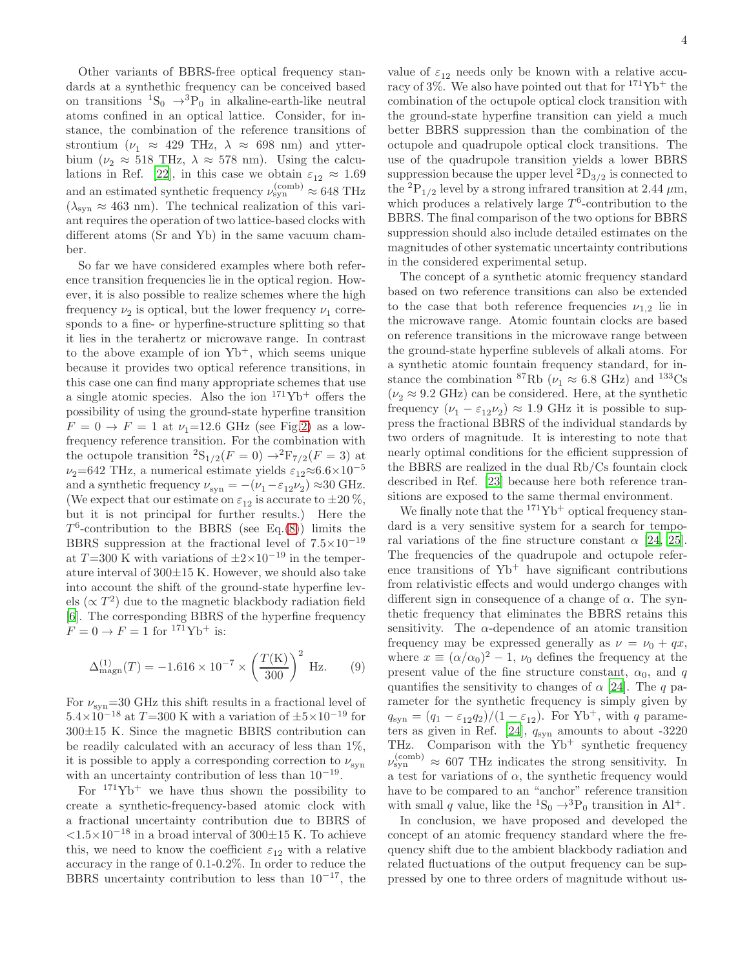Other variants of BBRS-free optical frequency standards at a synthethic frequency can be conceived based on transitions  ${}^{1}S_{0} \rightarrow {}^{3}P_{0}$  in alkaline-earth-like neutral atoms confined in an optical lattice. Consider, for instance, the combination of the reference transitions of strontium ( $\nu_1 \approx 429$  THz,  $\lambda \approx 698$  nm) and ytterbium ( $\nu_2 \approx 518$  THz,  $\lambda \approx 578$  nm). Using the calcu-lations in Ref. [\[22\]](#page-4-20), in this case we obtain  $\varepsilon_{12} \approx 1.69$ and an estimated synthetic frequency  $\nu_{syn}^{(\rm comb)} \approx 648 \text{ THz}$  $(\lambda_{syn} \approx 463$  nm). The technical realization of this variant requires the operation of two lattice-based clocks with different atoms (Sr and Yb) in the same vacuum chamber.

So far we have considered examples where both reference transition frequencies lie in the optical region. However, it is also possible to realize schemes where the high frequency  $\nu_2$  is optical, but the lower frequency  $\nu_1$  corresponds to a fine- or hyperfine-structure splitting so that it lies in the terahertz or microwave range. In contrast to the above example of ion  $Yb^+$ , which seems unique because it provides two optical reference transitions, in this case one can find many appropriate schemes that use a single atomic species. Also the ion  $171\text{Yb}^+$  offers the possibility of using the ground-state hyperfine transition  $F = 0 \rightarrow F = 1$  at  $\nu_1 = 12.6$  GHz (see Fig[.2\)](#page-2-0) as a lowfrequency reference transition. For the combination with the octupole transition  ${}^{2}S_{1/2}(F = 0) \rightarrow {}^{2}F_{7/2}(F = 3)$  at  $\nu_2$ =642 THz, a numerical estimate yields  $\varepsilon_{12} \approx 6.6 \times 10^{-5}$ and a synthetic frequency  $\nu_{syn} = -(\nu_1 - \varepsilon_{12}\nu_2) \approx 30$  GHz. (We expect that our estimate on  $\varepsilon_{12}$  is accurate to  $\pm 20\%$ , but it is not principal for further results.) Here the  $T^6$ -contribution to the BBRS (see Eq.[\(8\)](#page-2-1)) limits the BBRS suppression at the fractional level of  $7.5\times10^{-19}$ at T=300 K with variations of  $\pm 2 \times 10^{-19}$  in the temperature interval of  $300\pm15$  K. However, we should also take into account the shift of the ground-state hyperfine levels ( $\propto T^2$ ) due to the magnetic blackbody radiation field [\[6\]](#page-4-5). The corresponding BBRS of the hyperfine frequency  $F = 0 \rightarrow F = 1$  for <sup>171</sup>Yb<sup>+</sup> is:

$$
\Delta_{\text{magn}}^{(1)}(T) = -1.616 \times 10^{-7} \times \left(\frac{T(K)}{300}\right)^2 \text{ Hz.}
$$
 (9)

For  $\nu_{\rm syn}{=}30$  GHz this shift results in a fractional level of  $5.4\times10^{-18}$  at  $T=300$  K with a variation of  $\pm5\times10^{-19}$  for  $300\pm15$  K. Since the magnetic BBRS contribution can be readily calculated with an accuracy of less than  $1\%$ , it is possible to apply a corresponding correction to  $\nu_{syn}$ with an uncertainty contribution of less than  $10^{-19}$ .

For  $171\text{Yb}^+$  we have thus shown the possibility to create a synthetic-frequency-based atomic clock with a fractional uncertainty contribution due to BBRS of <1.5×10−<sup>18</sup> in a broad interval of 300±15 K. To achieve this, we need to know the coefficient  $\varepsilon_{12}$  with a relative accuracy in the range of 0.1-0.2%. In order to reduce the BBRS uncertainty contribution to less than  $10^{-17}$ , the

value of  $\varepsilon_{12}$  needs only be known with a relative accuracy of  $3\%$ . We also have pointed out that for  $171\text{Yb}^+$  the combination of the octupole optical clock transition with the ground-state hyperfine transition can yield a much better BBRS suppression than the combination of the octupole and quadrupole optical clock transitions. The use of the quadrupole transition yields a lower BBRS suppression because the upper level  ${}^{2}D_{3/2}$  is connected to the  ${}^{2}P_{1/2}$  level by a strong infrared transition at 2.44  $\mu$ m, which produces a relatively large  $T^6$ -contribution to the BBRS. The final comparison of the two options for BBRS suppression should also include detailed estimates on the magnitudes of other systematic uncertainty contributions in the considered experimental setup.

The concept of a synthetic atomic frequency standard based on two reference transitions can also be extended to the case that both reference frequencies  $\nu_{1,2}$  lie in the microwave range. Atomic fountain clocks are based on reference transitions in the microwave range between the ground-state hyperfine sublevels of alkali atoms. For a synthetic atomic fountain frequency standard, for instance the combination <sup>87</sup>Rb ( $\nu_1 \approx 6.8$  GHz) and <sup>133</sup>Cs  $(\nu_2 \approx 9.2 \text{ GHz})$  can be considered. Here, at the synthetic frequency  $(\nu_1 - \varepsilon_{12}\nu_2) \approx 1.9$  GHz it is possible to suppress the fractional BBRS of the individual standards by two orders of magnitude. It is interesting to note that nearly optimal conditions for the efficient suppression of the BBRS are realized in the dual Rb/Cs fountain clock described in Ref. [\[23\]](#page-4-21) because here both reference transitions are exposed to the same thermal environment.

We finally note that the  $171\text{Yb}^+$  optical frequency standard is a very sensitive system for a search for temporal variations of the fine structure constant  $\alpha$  [\[24,](#page-4-22) [25\]](#page-4-23). The frequencies of the quadrupole and octupole reference transitions of  $Yb^+$  have significant contributions from relativistic effects and would undergo changes with different sign in consequence of a change of  $\alpha$ . The synthetic frequency that eliminates the BBRS retains this sensitivity. The  $\alpha$ -dependence of an atomic transition frequency may be expressed generally as  $\nu = \nu_0 + qx$ , where  $x \equiv (\alpha/\alpha_0)^2 - 1$ ,  $\nu_0$  defines the frequency at the present value of the fine structure constant,  $\alpha_0$ , and q quantifies the sensitivity to changes of  $\alpha$  [\[24\]](#page-4-22). The q parameter for the synthetic frequency is simply given by  $q_{syn} = (q_1 - \varepsilon_{12}q_2)/(1 - \varepsilon_{12})$ . For Yb<sup>+</sup>, with q parame-ters as given in Ref. [\[24\]](#page-4-22),  $q_{syn}$  amounts to about -3220 THz. Comparison with the  $Yb^+$  synthetic frequency  $\nu_{\rm syn}^{\rm (comb)} \approx 607$  THz indicates the strong sensitivity. In a test for variations of  $\alpha$ , the synthetic frequency would have to be compared to an "anchor" reference transition with small q value, like the <sup>1</sup>S<sub>0</sub>  $\rightarrow$ <sup>3</sup>P<sub>0</sub> transition in Al<sup>+</sup>.

In conclusion, we have proposed and developed the concept of an atomic frequency standard where the frequency shift due to the ambient blackbody radiation and related fluctuations of the output frequency can be suppressed by one to three orders of magnitude without us